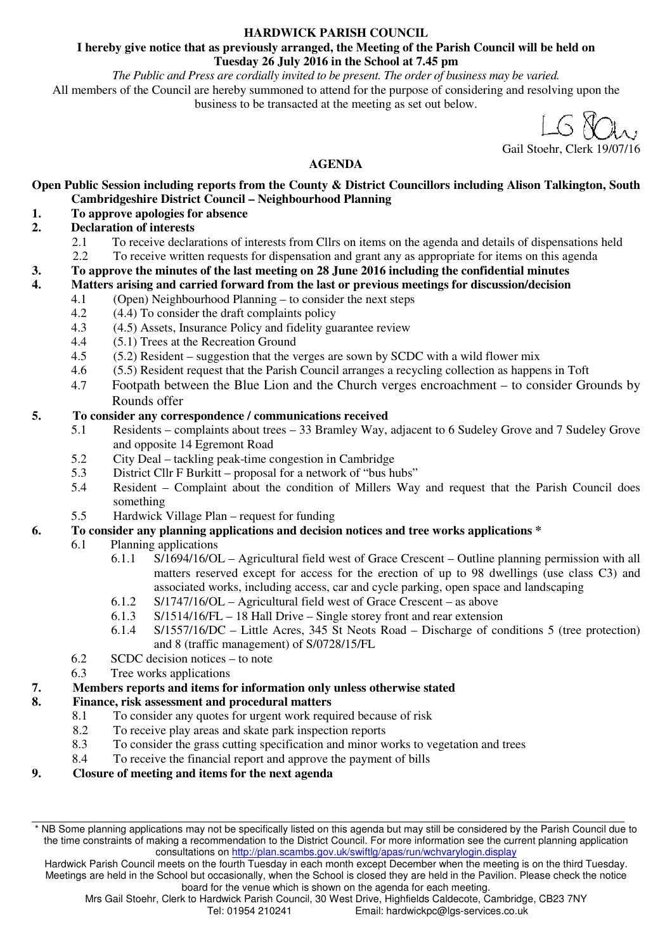#### **HARDWICK PARISH COUNCIL**

#### **I hereby give notice that as previously arranged, the Meeting of the Parish Council will be held on Tuesday 26 July 2016 in the School at 7.45 pm**

*The Public and Press are cordially invited to be present. The order of business may be varied.*  All members of the Council are hereby summoned to attend for the purpose of considering and resolving upon the business to be transacted at the meeting as set out below.

Gail Stoehr, Clerk 19/07/16

# **AGENDA**

**Open Public Session including reports from the County & District Councillors including Alison Talkington, South Cambridgeshire District Council – Neighbourhood Planning** 

## **1. To approve apologies for absence**

### **2. Declaration of interests**

- 2.1 To receive declarations of interests from Cllrs on items on the agenda and details of dispensations held<br>2.2 To receive written requests for dispensation and grant any as appropriate for items on this agenda
- 2.2 To receive written requests for dispensation and grant any as appropriate for items on this agenda

**3. To approve the minutes of the last meeting on 28 June 2016 including the confidential minutes** 

### **4. Matters arising and carried forward from the last or previous meetings for discussion/decision**

- 4.1 (Open) Neighbourhood Planning to consider the next steps
- 4.2 (4.4) To consider the draft complaints policy
- 4.3 (4.5) Assets, Insurance Policy and fidelity guarantee review
- 4.4 (5.1) Trees at the Recreation Ground
- 4.5 (5.2) Resident suggestion that the verges are sown by SCDC with a wild flower mix
- 4.6 (5.5) Resident request that the Parish Council arranges a recycling collection as happens in Toft
- 4.7 Footpath between the Blue Lion and the Church verges encroachment to consider Grounds by Rounds offer

### **5. To consider any correspondence / communications received**

- 5.1 Residents complaints about trees 33 Bramley Way, adjacent to 6 Sudeley Grove and 7 Sudeley Grove and opposite 14 Egremont Road
- 5.2 City Deal tackling peak-time congestion in Cambridge
- 5.3 District Cllr F Burkitt proposal for a network of "bus hubs"
- 5.4 Resident Complaint about the condition of Millers Way and request that the Parish Council does something

### 5.5 Hardwick Village Plan – request for funding

## **6. To consider any planning applications and decision notices and tree works applications \***

- 6.1 Planning applications
	- 6.1.1 S/1694/16/OL Agricultural field west of Grace Crescent Outline planning permission with all matters reserved except for access for the erection of up to 98 dwellings (use class C3) and associated works, including access, car and cycle parking, open space and landscaping
	- 6.1.2 S/1747/16/OL Agricultural field west of Grace Crescent as above
	- 6.1.3 S/1514/16/FL 18 Hall Drive Single storey front and rear extension
	- 6.1.4 S/1557/16/DC Little Acres, 345 St Neots Road Discharge of conditions 5 (tree protection) and 8 (traffic management) of S/0728/15/FL
- 6.2 SCDC decision notices to note
- 6.3 Tree works applications

### **7. Members reports and items for information only unless otherwise stated**

## **8. Finance, risk assessment and procedural matters**

- 8.1 To consider any quotes for urgent work required because of risk
- 8.2 To receive play areas and skate park inspection reports
- 8.3 To consider the grass cutting specification and minor works to vegetation and trees
- 8.4 To receive the financial report and approve the payment of bills
- **9. Closure of meeting and items for the next agenda**

<sup>\*</sup> NB Some planning applications may not be specifically listed on this agenda but may still be considered by the Parish Council due to the time constraints of making a recommendation to the District Council. For more information see the current planning application consultations on http://plan.scambs.gov.uk/swiftlg/apas/run/wchvarylogin.display

Hardwick Parish Council meets on the fourth Tuesday in each month except December when the meeting is on the third Tuesday. Meetings are held in the School but occasionally, when the School is closed they are held in the Pavilion. Please check the notice board for the venue which is shown on the agenda for each meeting.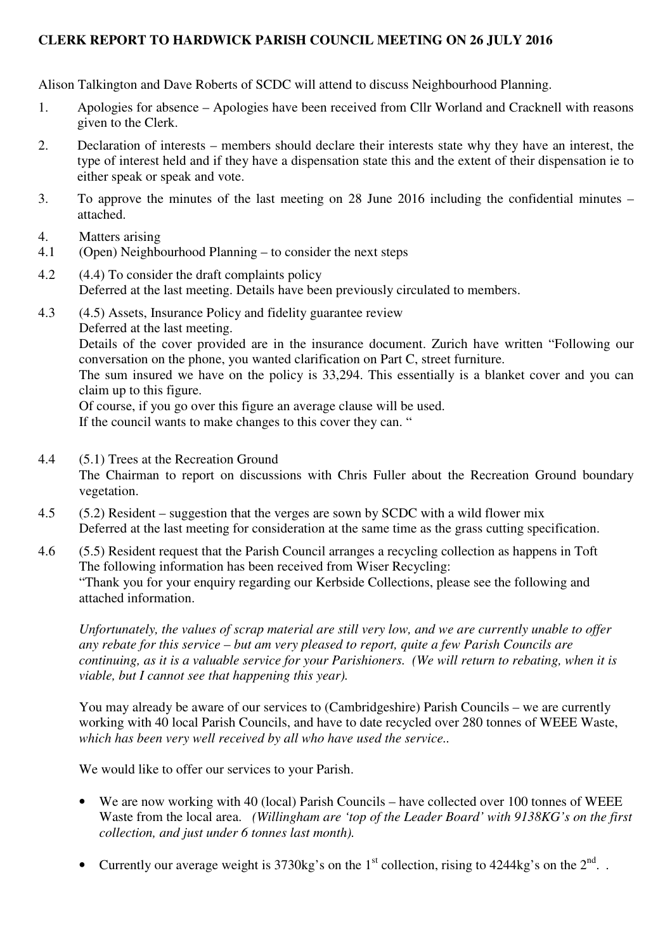## **CLERK REPORT TO HARDWICK PARISH COUNCIL MEETING ON 26 JULY 2016**

Alison Talkington and Dave Roberts of SCDC will attend to discuss Neighbourhood Planning.

- 1. Apologies for absence Apologies have been received from Cllr Worland and Cracknell with reasons given to the Clerk.
- 2. Declaration of interests members should declare their interests state why they have an interest, the type of interest held and if they have a dispensation state this and the extent of their dispensation ie to either speak or speak and vote.
- 3. To approve the minutes of the last meeting on 28 June 2016 including the confidential minutes attached.
- 4. Matters arising
- 4.1 (Open) Neighbourhood Planning to consider the next steps
- 4.2 (4.4) To consider the draft complaints policy Deferred at the last meeting. Details have been previously circulated to members.
- 4.3 (4.5) Assets, Insurance Policy and fidelity guarantee review Deferred at the last meeting. Details of the cover provided are in the insurance document. Zurich have written "Following our conversation on the phone, you wanted clarification on Part C, street furniture. The sum insured we have on the policy is 33,294. This essentially is a blanket cover and you can claim up to this figure. Of course, if you go over this figure an average clause will be used. If the council wants to make changes to this cover they can. "
- 4.4 (5.1) Trees at the Recreation Ground The Chairman to report on discussions with Chris Fuller about the Recreation Ground boundary vegetation.
- 4.5 (5.2) Resident suggestion that the verges are sown by SCDC with a wild flower mix Deferred at the last meeting for consideration at the same time as the grass cutting specification.
- 4.6 (5.5) Resident request that the Parish Council arranges a recycling collection as happens in Toft The following information has been received from Wiser Recycling: "Thank you for your enquiry regarding our Kerbside Collections, please see the following and attached information.

*Unfortunately, the values of scrap material are still very low, and we are currently unable to offer any rebate for this service – but am very pleased to report, quite a few Parish Councils are continuing, as it is a valuable service for your Parishioners. (We will return to rebating, when it is viable, but I cannot see that happening this year).*

You may already be aware of our services to (Cambridgeshire) Parish Councils – we are currently working with 40 local Parish Councils, and have to date recycled over 280 tonnes of WEEE Waste, *which has been very well received by all who have used the service..*

We would like to offer our services to your Parish.

- We are now working with 40 (local) Parish Councils have collected over 100 tonnes of WEEE Waste from the local area. *(Willingham are 'top of the Leader Board' with 9138KG's on the first collection, and just under 6 tonnes last month).*
- Currently our average weight is  $3730\text{kg}$ 's on the 1<sup>st</sup> collection, rising to  $4244\text{kg}$ 's on the  $2^{\text{nd}}$ .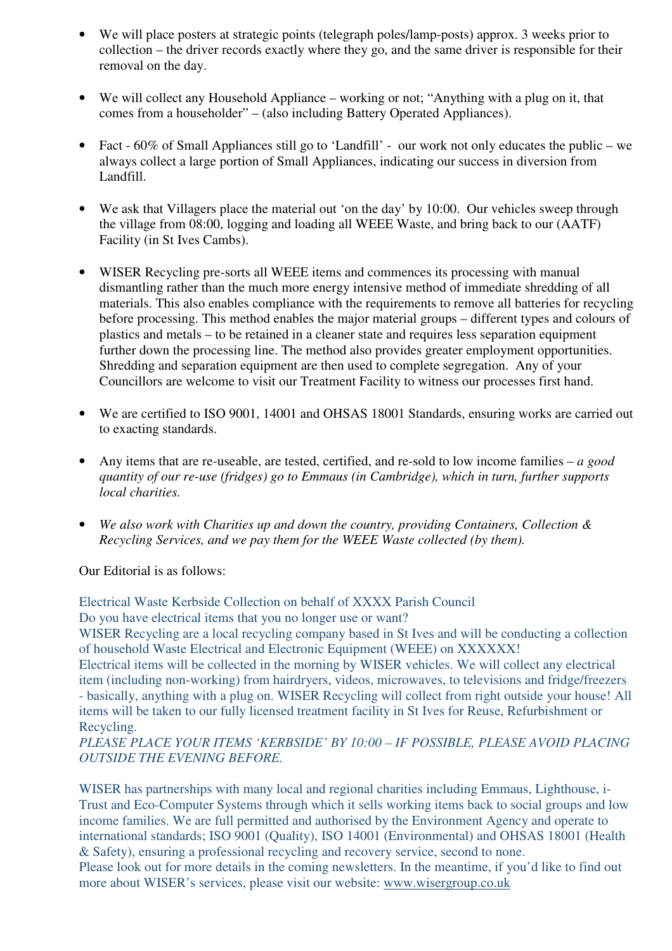- We will place posters at strategic points (telegraph poles/lamp-posts) approx. 3 weeks prior to collection – the driver records exactly where they go, and the same driver is responsible for their removal on the day.
- We will collect any Household Appliance working or not; "Anything with a plug on it, that comes from a householder" – (also including Battery Operated Appliances).
- Fact 60% of Small Appliances still go to 'Landfill' our work not only educates the public we always collect a large portion of Small Appliances, indicating our success in diversion from Landfill.
- We ask that Villagers place the material out 'on the day' by 10:00. Our vehicles sweep through the village from 08:00, logging and loading all WEEE Waste, and bring back to our (AATF) Facility (in St Ives Cambs).
- WISER Recycling pre-sorts all WEEE items and commences its processing with manual dismantling rather than the much more energy intensive method of immediate shredding of all materials. This also enables compliance with the requirements to remove all batteries for recycling before processing. This method enables the major material groups – different types and colours of plastics and metals – to be retained in a cleaner state and requires less separation equipment further down the processing line. The method also provides greater employment opportunities. Shredding and separation equipment are then used to complete segregation. Any of your Councillors are welcome to visit our Treatment Facility to witness our processes first hand.
- We are certified to ISO 9001, 14001 and OHSAS 18001 Standards, ensuring works are carried out to exacting standards.
- Any items that are re-useable, are tested, certified, and re-sold to low income families *a good quantity of our re-use (fridges) go to Emmaus (in Cambridge), which in turn, further supports local charities.*
- *We also work with Charities up and down the country, providing Containers, Collection & Recycling Services, and we pay them for the WEEE Waste collected (by them).*

Our Editorial is as follows:

Electrical Waste Kerbside Collection on behalf of XXXX Parish Council Do you have electrical items that you no longer use or want?

WISER Recycling are a local recycling company based in St Ives and will be conducting a collection of household Waste Electrical and Electronic Equipment (WEEE) on XXXXXX!

Electrical items will be collected in the morning by WISER vehicles. We will collect any electrical item (including non-working) from hairdryers, videos, microwaves, to televisions and fridge/freezers - basically, anything with a plug on. WISER Recycling will collect from right outside your house! All items will be taken to our fully licensed treatment facility in St Ives for Reuse, Refurbishment or Recycling.

*PLEASE PLACE YOUR ITEMS 'KERBSIDE' BY 10:00 – IF POSSIBLE, PLEASE AVOID PLACING OUTSIDE THE EVENING BEFORE.*

WISER has partnerships with many local and regional charities including Emmaus, Lighthouse, i-Trust and Eco-Computer Systems through which it sells working items back to social groups and low income families. We are full permitted and authorised by the Environment Agency and operate to international standards; ISO 9001 (Quality), ISO 14001 (Environmental) and OHSAS 18001 (Health & Safety), ensuring a professional recycling and recovery service, second to none. Please look out for more details in the coming newsletters. In the meantime, if you'd like to find out more about WISER's services, please visit our website: www.wisergroup.co.uk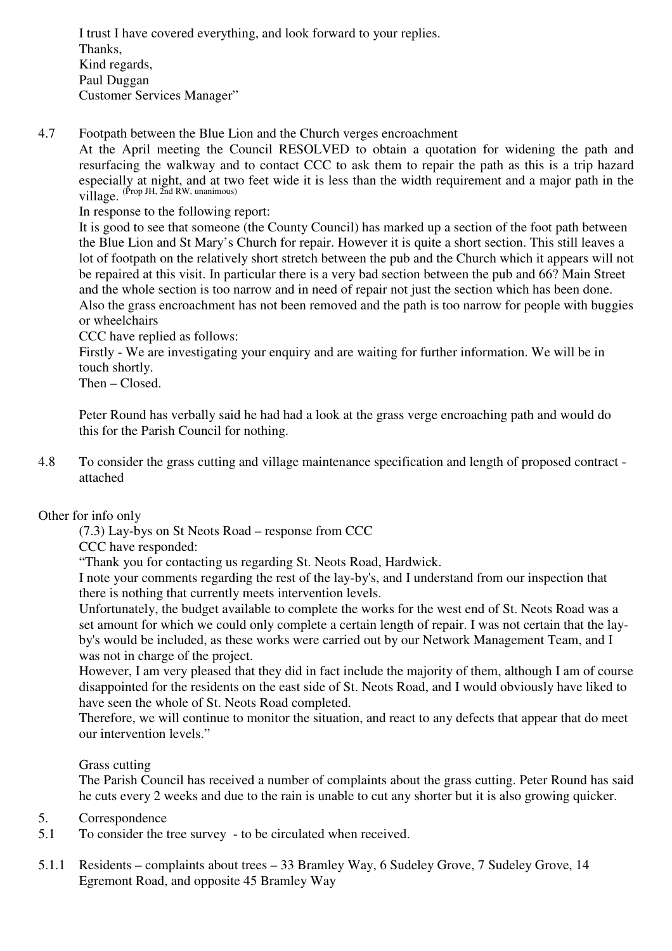I trust I have covered everything, and look forward to your replies. Thanks, Kind regards, Paul Duggan Customer Services Manager"

4.7 Footpath between the Blue Lion and the Church verges encroachment

At the April meeting the Council RESOLVED to obtain a quotation for widening the path and resurfacing the walkway and to contact CCC to ask them to repair the path as this is a trip hazard especially at night, and at two feet wide it is less than the width requirement and a major path in the village. (Prop JH, 2nd RW, unanimous)

In response to the following report:

It is good to see that someone (the County Council) has marked up a section of the foot path between the Blue Lion and St Mary's Church for repair. However it is quite a short section. This still leaves a lot of footpath on the relatively short stretch between the pub and the Church which it appears will not be repaired at this visit. In particular there is a very bad section between the pub and 66? Main Street and the whole section is too narrow and in need of repair not just the section which has been done. Also the grass encroachment has not been removed and the path is too narrow for people with buggies or wheelchairs

CCC have replied as follows:

Firstly - We are investigating your enquiry and are waiting for further information. We will be in touch shortly.

Then – Closed.

Peter Round has verbally said he had had a look at the grass verge encroaching path and would do this for the Parish Council for nothing.

4.8 To consider the grass cutting and village maintenance specification and length of proposed contract attached

### Other for info only

(7.3) Lay-bys on St Neots Road – response from CCC

CCC have responded:

"Thank you for contacting us regarding St. Neots Road, Hardwick.

I note your comments regarding the rest of the lay-by's, and I understand from our inspection that there is nothing that currently meets intervention levels.

Unfortunately, the budget available to complete the works for the west end of St. Neots Road was a set amount for which we could only complete a certain length of repair. I was not certain that the layby's would be included, as these works were carried out by our Network Management Team, and I was not in charge of the project.

However, I am very pleased that they did in fact include the majority of them, although I am of course disappointed for the residents on the east side of St. Neots Road, and I would obviously have liked to have seen the whole of St. Neots Road completed.

Therefore, we will continue to monitor the situation, and react to any defects that appear that do meet our intervention levels."

Grass cutting

The Parish Council has received a number of complaints about the grass cutting. Peter Round has said he cuts every 2 weeks and due to the rain is unable to cut any shorter but it is also growing quicker.

### 5. Correspondence

- 5.1 To consider the tree survey to be circulated when received.
- 5.1.1 Residents complaints about trees 33 Bramley Way, 6 Sudeley Grove, 7 Sudeley Grove, 14 Egremont Road, and opposite 45 Bramley Way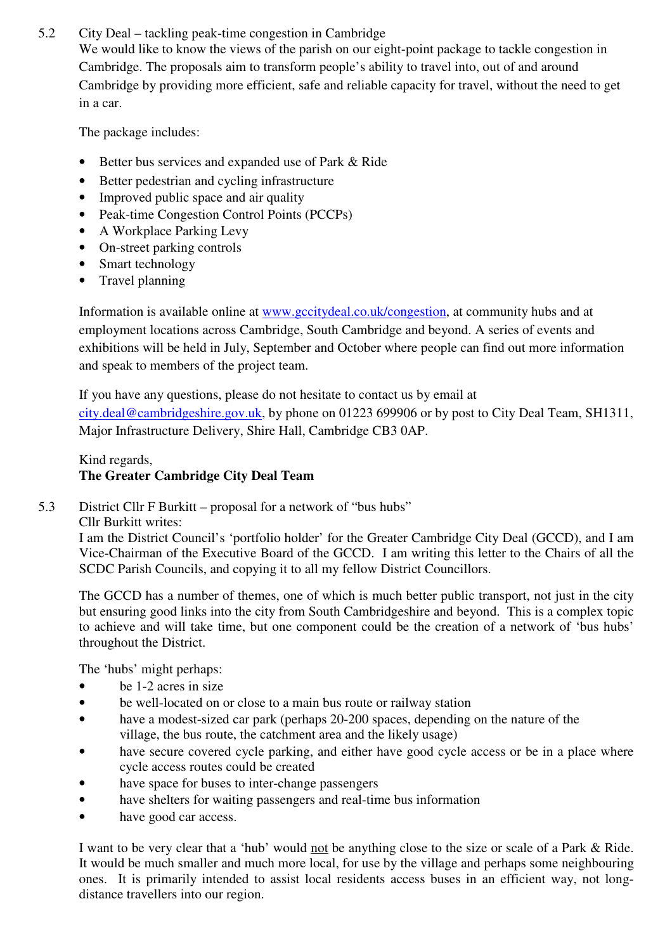5.2 City Deal – tackling peak-time congestion in Cambridge

We would like to know the views of the parish on our eight-point package to tackle congestion in Cambridge. The proposals aim to transform people's ability to travel into, out of and around Cambridge by providing more efficient, safe and reliable capacity for travel, without the need to get in a car.

The package includes:

- Better bus services and expanded use of Park & Ride
- Better pedestrian and cycling infrastructure
- Improved public space and air quality
- Peak-time Congestion Control Points (PCCPs)
- A Workplace Parking Levy
- On-street parking controls
- Smart technology
- Travel planning

Information is available online at www.gccitydeal.co.uk/congestion, at community hubs and at employment locations across Cambridge, South Cambridge and beyond. A series of events and exhibitions will be held in July, September and October where people can find out more information and speak to members of the project team.

If you have any questions, please do not hesitate to contact us by email at city.deal@cambridgeshire.gov.uk, by phone on 01223 699906 or by post to City Deal Team, SH1311, Major Infrastructure Delivery, Shire Hall, Cambridge CB3 0AP.

# Kind regards, **The Greater Cambridge City Deal Team**

5.3 District Cllr F Burkitt – proposal for a network of "bus hubs"

Cllr Burkitt writes:

I am the District Council's 'portfolio holder' for the Greater Cambridge City Deal (GCCD), and I am Vice-Chairman of the Executive Board of the GCCD. I am writing this letter to the Chairs of all the SCDC Parish Councils, and copying it to all my fellow District Councillors.

The GCCD has a number of themes, one of which is much better public transport, not just in the city but ensuring good links into the city from South Cambridgeshire and beyond. This is a complex topic to achieve and will take time, but one component could be the creation of a network of 'bus hubs' throughout the District.

The 'hubs' might perhaps:

- be 1-2 acres in size
- be well-located on or close to a main bus route or railway station
- have a modest-sized car park (perhaps 20-200 spaces, depending on the nature of the village, the bus route, the catchment area and the likely usage)
- have secure covered cycle parking, and either have good cycle access or be in a place where cycle access routes could be created
- have space for buses to inter-change passengers
- have shelters for waiting passengers and real-time bus information
- have good car access.

I want to be very clear that a 'hub' would not be anything close to the size or scale of a Park & Ride. It would be much smaller and much more local, for use by the village and perhaps some neighbouring ones. It is primarily intended to assist local residents access buses in an efficient way, not longdistance travellers into our region.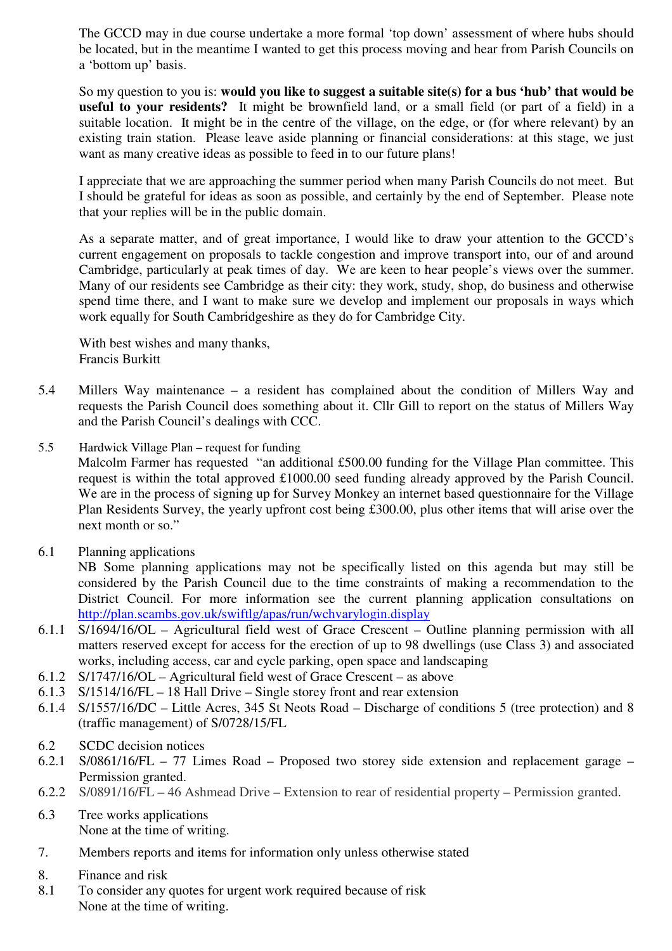The GCCD may in due course undertake a more formal 'top down' assessment of where hubs should be located, but in the meantime I wanted to get this process moving and hear from Parish Councils on a 'bottom up' basis.

So my question to you is: **would you like to suggest a suitable site(s) for a bus 'hub' that would be useful to your residents?** It might be brownfield land, or a small field (or part of a field) in a suitable location. It might be in the centre of the village, on the edge, or (for where relevant) by an existing train station. Please leave aside planning or financial considerations: at this stage, we just want as many creative ideas as possible to feed in to our future plans!

I appreciate that we are approaching the summer period when many Parish Councils do not meet. But I should be grateful for ideas as soon as possible, and certainly by the end of September. Please note that your replies will be in the public domain.

As a separate matter, and of great importance, I would like to draw your attention to the GCCD's current engagement on proposals to tackle congestion and improve transport into, our of and around Cambridge, particularly at peak times of day. We are keen to hear people's views over the summer. Many of our residents see Cambridge as their city: they work, study, shop, do business and otherwise spend time there, and I want to make sure we develop and implement our proposals in ways which work equally for South Cambridgeshire as they do for Cambridge City.

With best wishes and many thanks, Francis Burkitt

- 5.4 Millers Way maintenance a resident has complained about the condition of Millers Way and requests the Parish Council does something about it. Cllr Gill to report on the status of Millers Way and the Parish Council's dealings with CCC.
- 5.5 Hardwick Village Plan request for funding Malcolm Farmer has requested "an additional £500.00 funding for the Village Plan committee. This request is within the total approved £1000.00 seed funding already approved by the Parish Council. We are in the process of signing up for Survey Monkey an internet based questionnaire for the Village Plan Residents Survey, the yearly upfront cost being £300.00, plus other items that will arise over the next month or so."
- 6.1 Planning applications

NB Some planning applications may not be specifically listed on this agenda but may still be considered by the Parish Council due to the time constraints of making a recommendation to the District Council. For more information see the current planning application consultations on http://plan.scambs.gov.uk/swiftlg/apas/run/wchvarylogin.display

- 6.1.1 S/1694/16/OL Agricultural field west of Grace Crescent Outline planning permission with all matters reserved except for access for the erection of up to 98 dwellings (use Class 3) and associated works, including access, car and cycle parking, open space and landscaping
- 6.1.2 S/1747/16/OL Agricultural field west of Grace Crescent as above
- 6.1.3 S/1514/16/FL 18 Hall Drive Single storey front and rear extension
- 6.1.4 S/1557/16/DC Little Acres, 345 St Neots Road Discharge of conditions 5 (tree protection) and 8 (traffic management) of S/0728/15/FL
- 6.2 SCDC decision notices
- 6.2.1 S/0861/16/FL 77 Limes Road Proposed two storey side extension and replacement garage Permission granted.
- 6.2.2 S/0891/16/FL 46 Ashmead Drive Extension to rear of residential property Permission granted.
- 6.3 Tree works applications None at the time of writing.
- 7. Members reports and items for information only unless otherwise stated
- 8. Finance and risk
- 8.1 To consider any quotes for urgent work required because of risk None at the time of writing.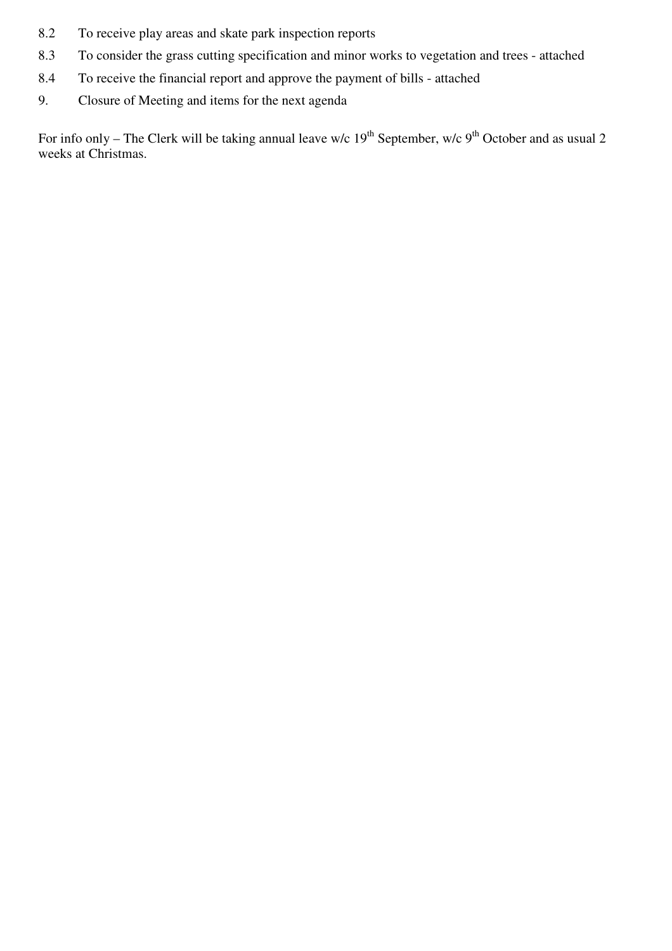- 8.2 To receive play areas and skate park inspection reports
- 8.3 To consider the grass cutting specification and minor works to vegetation and trees attached
- 8.4 To receive the financial report and approve the payment of bills attached
- 9. Closure of Meeting and items for the next agenda

For info only – The Clerk will be taking annual leave w/c  $19^{th}$  September, w/c  $9^{th}$  October and as usual 2 weeks at Christmas.